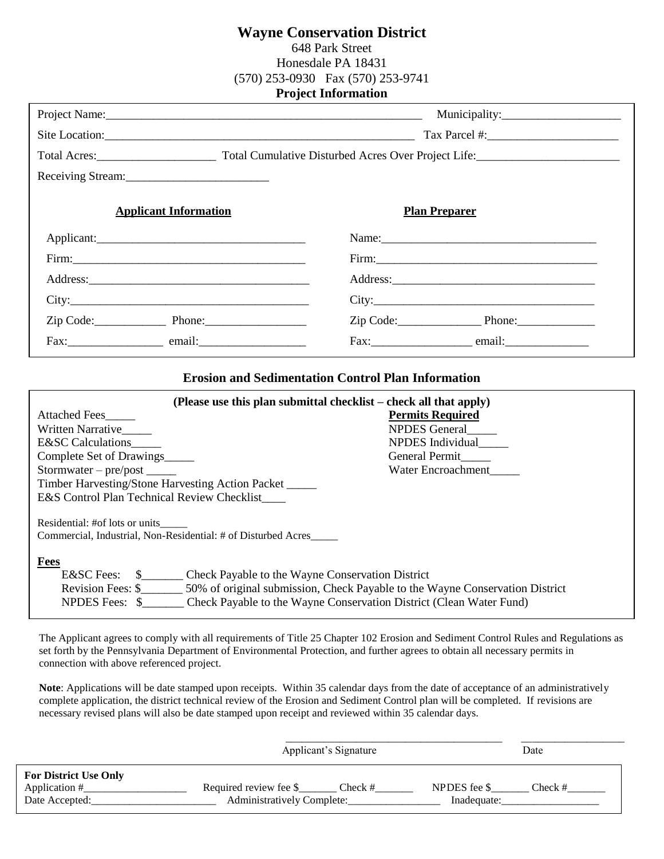## **Wayne Conservation District**

648 Park Street Honesdale PA 18431 (570) 253-0930 Fax (570) 253-9741 **Project Information** 

| Receiving Stream:                                                                                                                                                                                                                                                                                               |                                                                                                              |
|-----------------------------------------------------------------------------------------------------------------------------------------------------------------------------------------------------------------------------------------------------------------------------------------------------------------|--------------------------------------------------------------------------------------------------------------|
| <b>Applicant Information</b>                                                                                                                                                                                                                                                                                    | <b>Plan Preparer</b>                                                                                         |
|                                                                                                                                                                                                                                                                                                                 |                                                                                                              |
|                                                                                                                                                                                                                                                                                                                 |                                                                                                              |
|                                                                                                                                                                                                                                                                                                                 |                                                                                                              |
|                                                                                                                                                                                                                                                                                                                 |                                                                                                              |
| $Zip Code:$ Phone: Phone.                                                                                                                                                                                                                                                                                       | Zip Code: Phone: Phone:                                                                                      |
|                                                                                                                                                                                                                                                                                                                 |                                                                                                              |
| <b>Erosion and Sedimentation Control Plan Information</b>                                                                                                                                                                                                                                                       |                                                                                                              |
| (Please use this plan submittal checklist – check all that apply)<br><b>Attached Fees</b><br>Written Narrative_____<br>E&SC Calculations_____<br>Complete Set of Drawings<br>Stormwater – $pre/post$ _______<br>Timber Harvesting/Stone Harvesting Action Packet<br>E&S Control Plan Technical Review Checklist | <b>Permits Required</b><br>NPDES General<br>NPDES Individual<br>General Permit____<br>Water Encroachment____ |

Residential: #of lots or units\_\_\_\_\_ Commercial, Industrial, Non-Residential: # of Disturbed Acres\_\_\_\_\_

#### **Fees**

| E&SC Fees:               | Check Payable to the Wayne Conservation District                             |
|--------------------------|------------------------------------------------------------------------------|
| <b>Revision Fees: \$</b> | 50% of original submission, Check Payable to the Wayne Conservation District |
| NPDES Fees: \$           | Check Payable to the Wayne Conservation District (Clean Water Fund)          |

The Applicant agrees to comply with all requirements of Title 25 Chapter 102 Erosion and Sediment Control Rules and Regulations as set forth by the Pennsylvania Department of Environmental Protection, and further agrees to obtain all necessary permits in connection with above referenced project.

**Note**: Applications will be date stamped upon receipts. Within 35 calendar days from the date of acceptance of an administratively complete application, the district technical review of the Erosion and Sediment Control plan will be completed. If revisions are necessary revised plans will also be date stamped upon receipt and reviewed within 35 calendar days.

|                                                                 | Applicant's Signature                                           |                             | Date       |  |
|-----------------------------------------------------------------|-----------------------------------------------------------------|-----------------------------|------------|--|
| <b>For District Use Only</b><br>Application #<br>Date Accepted: | Required review fee \$<br>Check #<br>Administratively Complete: | NPDES fee \$<br>Inadequate: | $Check \#$ |  |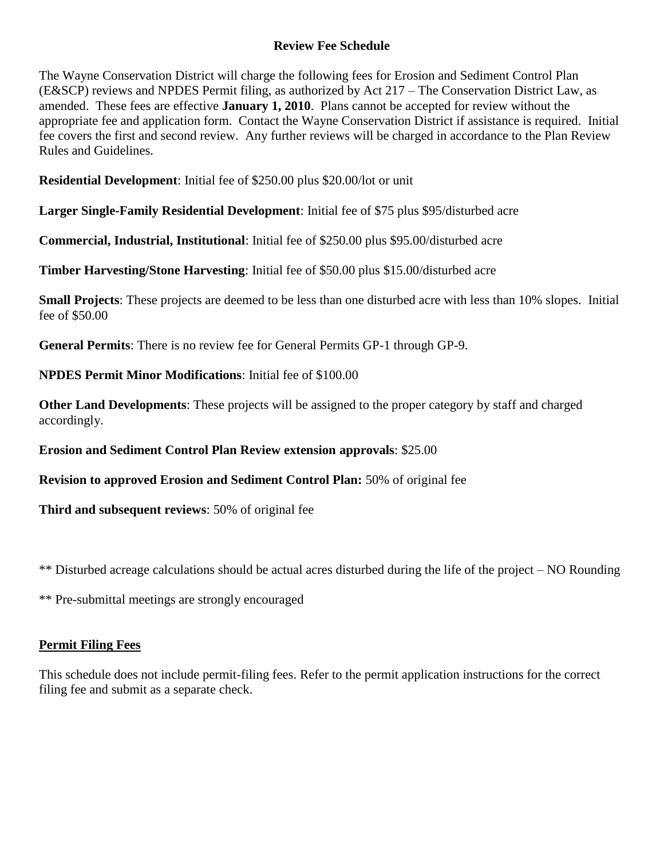## **Review Fee Schedule**

The Wayne Conservation District will charge the following fees for Erosion and Sediment Control Plan (E&SCP) reviews and NPDES Permit filing, as authorized by Act 217 – The Conservation District Law, as amended. These fees are effective **January 1, 2010**. Plans cannot be accepted for review without the appropriate fee and application form. Contact the Wayne Conservation District if assistance is required. Initial fee covers the first and second review. Any further reviews will be charged in accordance to the Plan Review Rules and Guidelines.

**Residential Development**: Initial fee of \$250.00 plus \$20.00/lot or unit

**Larger Single-Family Residential Development**: Initial fee of \$75 plus \$95/disturbed acre

**Commercial, Industrial, Institutional**: Initial fee of \$250.00 plus \$95.00/disturbed acre

**Timber Harvesting/Stone Harvesting**: Initial fee of \$50.00 plus \$15.00/disturbed acre

**Small Projects**: These projects are deemed to be less than one disturbed acre with less than 10% slopes. Initial fee of \$50.00

**General Permits**: There is no review fee for General Permits GP-1 through GP-9.

**NPDES Permit Minor Modifications**: Initial fee of \$100.00

**Other Land Developments**: These projects will be assigned to the proper category by staff and charged accordingly.

**Erosion and Sediment Control Plan Review extension approvals**: \$25.00

**Revision to approved Erosion and Sediment Control Plan:** 50% of original fee

**Third and subsequent reviews**: 50% of original fee

\*\* Disturbed acreage calculations should be actual acres disturbed during the life of the project – NO Rounding

\*\* Pre-submittal meetings are strongly encouraged

## **Permit Filing Fees**

This schedule does not include permit-filing fees. Refer to the permit application instructions for the correct filing fee and submit as a separate check.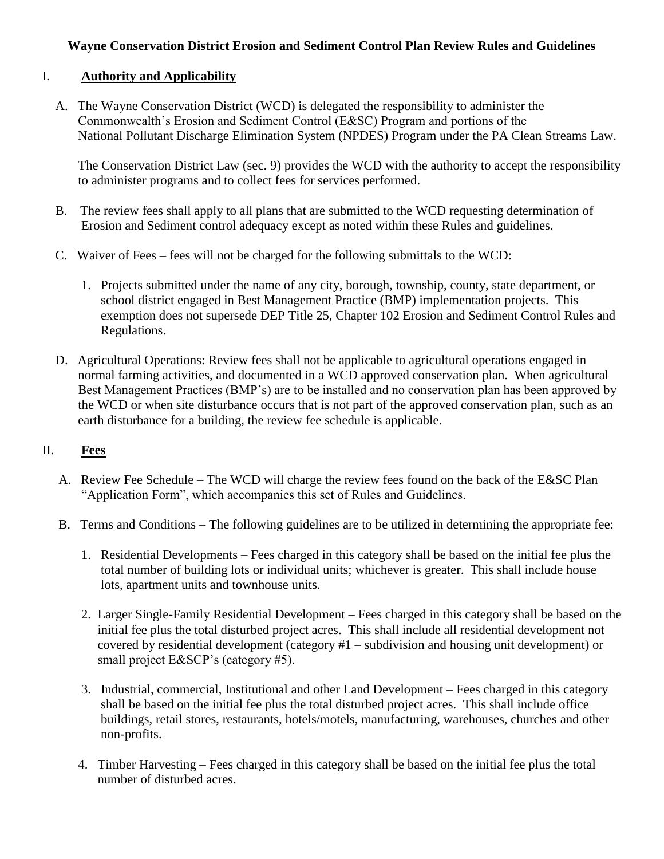## **Wayne Conservation District Erosion and Sediment Control Plan Review Rules and Guidelines**

## I. **Authority and Applicability**

 A. The Wayne Conservation District (WCD) is delegated the responsibility to administer the Commonwealth's Erosion and Sediment Control (E&SC) Program and portions of the National Pollutant Discharge Elimination System (NPDES) Program under the PA Clean Streams Law.

 The Conservation District Law (sec. 9) provides the WCD with the authority to accept the responsibility to administer programs and to collect fees for services performed.

- B. The review fees shall apply to all plans that are submitted to the WCD requesting determination of Erosion and Sediment control adequacy except as noted within these Rules and guidelines.
- C. Waiver of Fees fees will not be charged for the following submittals to the WCD:
	- 1. Projects submitted under the name of any city, borough, township, county, state department, or school district engaged in Best Management Practice (BMP) implementation projects. This exemption does not supersede DEP Title 25, Chapter 102 Erosion and Sediment Control Rules and Regulations.
- D. Agricultural Operations: Review fees shall not be applicable to agricultural operations engaged in normal farming activities, and documented in a WCD approved conservation plan. When agricultural Best Management Practices (BMP's) are to be installed and no conservation plan has been approved by the WCD or when site disturbance occurs that is not part of the approved conservation plan, such as an earth disturbance for a building, the review fee schedule is applicable.

## II. **Fees**

- A. Review Fee Schedule The WCD will charge the review fees found on the back of the E&SC Plan "Application Form", which accompanies this set of Rules and Guidelines.
- B. Terms and Conditions The following guidelines are to be utilized in determining the appropriate fee:
	- 1. Residential Developments Fees charged in this category shall be based on the initial fee plus the total number of building lots or individual units; whichever is greater. This shall include house lots, apartment units and townhouse units.
	- 2. Larger Single-Family Residential Development Fees charged in this category shall be based on the initial fee plus the total disturbed project acres. This shall include all residential development not covered by residential development (category #1 – subdivision and housing unit development) or small project E&SCP's (category #5).
	- 3. Industrial, commercial, Institutional and other Land Development Fees charged in this category shall be based on the initial fee plus the total disturbed project acres. This shall include office buildings, retail stores, restaurants, hotels/motels, manufacturing, warehouses, churches and other non-profits.
	- 4. Timber Harvesting Fees charged in this category shall be based on the initial fee plus the total number of disturbed acres.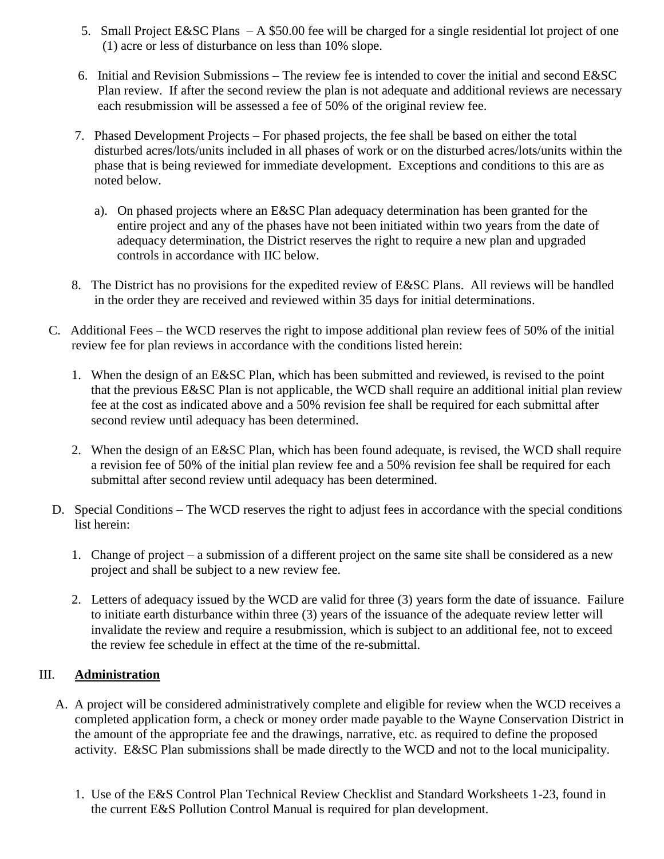- 5. Small Project E&SC Plans A \$50.00 fee will be charged for a single residential lot project of one (1) acre or less of disturbance on less than 10% slope.
- 6. Initial and Revision Submissions The review fee is intended to cover the initial and second E&SC Plan review. If after the second review the plan is not adequate and additional reviews are necessary each resubmission will be assessed a fee of 50% of the original review fee.
- 7. Phased Development Projects For phased projects, the fee shall be based on either the total disturbed acres/lots/units included in all phases of work or on the disturbed acres/lots/units within the phase that is being reviewed for immediate development. Exceptions and conditions to this are as noted below.
	- a). On phased projects where an E&SC Plan adequacy determination has been granted for the entire project and any of the phases have not been initiated within two years from the date of adequacy determination, the District reserves the right to require a new plan and upgraded controls in accordance with IIC below.
- 8. The District has no provisions for the expedited review of E&SC Plans. All reviews will be handled in the order they are received and reviewed within 35 days for initial determinations.
- C. Additional Fees the WCD reserves the right to impose additional plan review fees of 50% of the initial review fee for plan reviews in accordance with the conditions listed herein:
	- 1. When the design of an E&SC Plan, which has been submitted and reviewed, is revised to the point that the previous E&SC Plan is not applicable, the WCD shall require an additional initial plan review fee at the cost as indicated above and a 50% revision fee shall be required for each submittal after second review until adequacy has been determined.
	- 2. When the design of an E&SC Plan, which has been found adequate, is revised, the WCD shall require a revision fee of 50% of the initial plan review fee and a 50% revision fee shall be required for each submittal after second review until adequacy has been determined.
- D. Special Conditions The WCD reserves the right to adjust fees in accordance with the special conditions list herein:
	- 1. Change of project a submission of a different project on the same site shall be considered as a new project and shall be subject to a new review fee.
	- 2. Letters of adequacy issued by the WCD are valid for three (3) years form the date of issuance. Failure to initiate earth disturbance within three (3) years of the issuance of the adequate review letter will invalidate the review and require a resubmission, which is subject to an additional fee, not to exceed the review fee schedule in effect at the time of the re-submittal.

## III. **Administration**

- A. A project will be considered administratively complete and eligible for review when the WCD receives a completed application form, a check or money order made payable to the Wayne Conservation District in the amount of the appropriate fee and the drawings, narrative, etc. as required to define the proposed activity. E&SC Plan submissions shall be made directly to the WCD and not to the local municipality.
	- 1. Use of the E&S Control Plan Technical Review Checklist and Standard Worksheets 1-23, found in the current E&S Pollution Control Manual is required for plan development.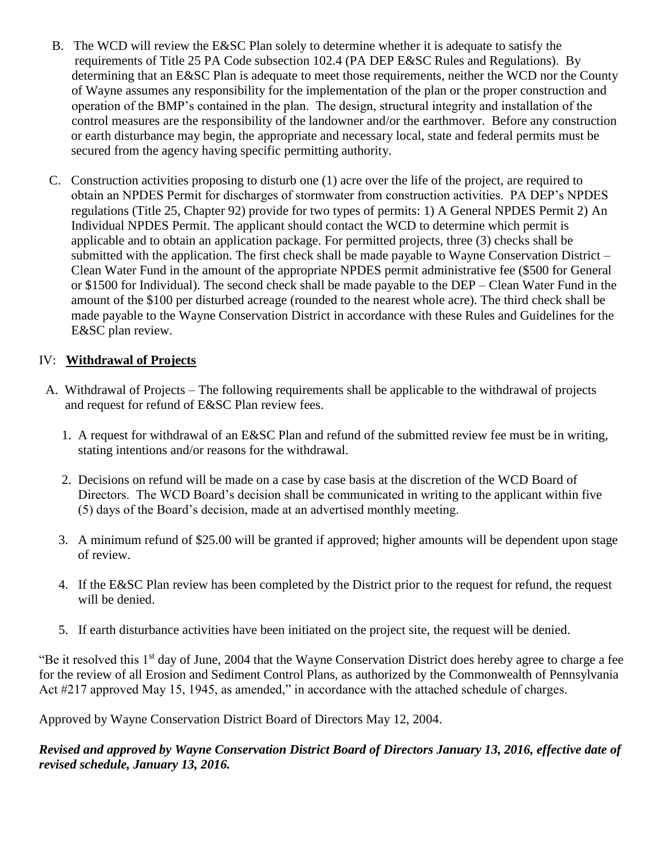- B. The WCD will review the E&SC Plan solely to determine whether it is adequate to satisfy the requirements of Title 25 PA Code subsection 102.4 (PA DEP E&SC Rules and Regulations). By determining that an E&SC Plan is adequate to meet those requirements, neither the WCD nor the County of Wayne assumes any responsibility for the implementation of the plan or the proper construction and operation of the BMP's contained in the plan. The design, structural integrity and installation of the control measures are the responsibility of the landowner and/or the earthmover. Before any construction or earth disturbance may begin, the appropriate and necessary local, state and federal permits must be secured from the agency having specific permitting authority.
- C. Construction activities proposing to disturb one (1) acre over the life of the project, are required to obtain an NPDES Permit for discharges of stormwater from construction activities. PA DEP's NPDES regulations (Title 25, Chapter 92) provide for two types of permits: 1) A General NPDES Permit 2) An Individual NPDES Permit. The applicant should contact the WCD to determine which permit is applicable and to obtain an application package. For permitted projects, three (3) checks shall be submitted with the application. The first check shall be made payable to Wayne Conservation District – Clean Water Fund in the amount of the appropriate NPDES permit administrative fee (\$500 for General or \$1500 for Individual). The second check shall be made payable to the DEP – Clean Water Fund in the amount of the \$100 per disturbed acreage (rounded to the nearest whole acre). The third check shall be made payable to the Wayne Conservation District in accordance with these Rules and Guidelines for the E&SC plan review.

## IV: **Withdrawal of Projects**

- A. Withdrawal of Projects The following requirements shall be applicable to the withdrawal of projects and request for refund of E&SC Plan review fees.
	- 1. A request for withdrawal of an E&SC Plan and refund of the submitted review fee must be in writing, stating intentions and/or reasons for the withdrawal.
	- 2. Decisions on refund will be made on a case by case basis at the discretion of the WCD Board of Directors. The WCD Board's decision shall be communicated in writing to the applicant within five (5) days of the Board's decision, made at an advertised monthly meeting.
	- 3. A minimum refund of \$25.00 will be granted if approved; higher amounts will be dependent upon stage of review.
	- 4. If the E&SC Plan review has been completed by the District prior to the request for refund, the request will be denied.
	- 5. If earth disturbance activities have been initiated on the project site, the request will be denied.

"Be it resolved this  $1<sup>st</sup>$  day of June, 2004 that the Wayne Conservation District does hereby agree to charge a fee for the review of all Erosion and Sediment Control Plans, as authorized by the Commonwealth of Pennsylvania Act #217 approved May 15, 1945, as amended," in accordance with the attached schedule of charges.

Approved by Wayne Conservation District Board of Directors May 12, 2004.

*Revised and approved by Wayne Conservation District Board of Directors January 13, 2016, effective date of revised schedule, January 13, 2016.*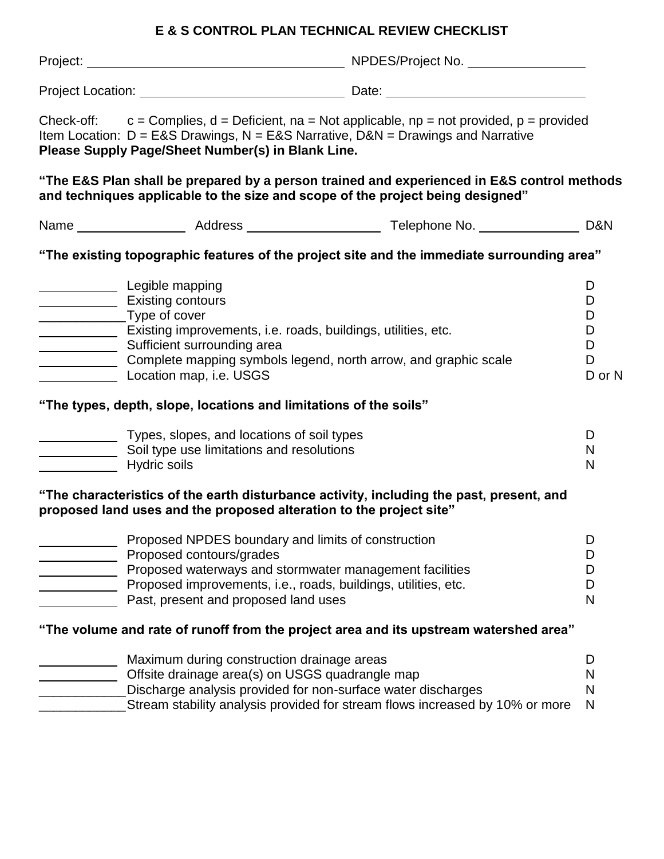# **E & S CONTROL PLAN TECHNICAL REVIEW CHECKLIST**

|  | Item Location: $D = EAS$ Drawings, $N = EAS$ Narrative, $DAN =$ Drawings and Narrative<br>Please Supply Page/Sheet Number(s) in Blank Line.<br>and techniques applicable to the size and scope of the project being designed"                                               | Check-off: $c =$ Complies, $d =$ Deficient, $na =$ Not applicable, $np =$ not provided, $p =$ provided<br>"The E&S Plan shall be prepared by a person trained and experienced in E&S control methods |                                      |  |
|--|-----------------------------------------------------------------------------------------------------------------------------------------------------------------------------------------------------------------------------------------------------------------------------|------------------------------------------------------------------------------------------------------------------------------------------------------------------------------------------------------|--------------------------------------|--|
|  |                                                                                                                                                                                                                                                                             |                                                                                                                                                                                                      |                                      |  |
|  |                                                                                                                                                                                                                                                                             | "The existing topographic features of the project site and the immediate surrounding area"                                                                                                           |                                      |  |
|  | Legible mapping<br><b>Existing contours</b><br>_________________Type of cover<br>Existing improvements, i.e. roads, buildings, utilities, etc.<br>Sufficient surrounding area<br>Complete mapping symbols legend, north arrow, and graphic scale<br>Location map, i.e. USGS |                                                                                                                                                                                                      | D<br>D<br>D<br>D<br>D<br>D<br>D or N |  |
|  | "The types, depth, slope, locations and limitations of the soils"                                                                                                                                                                                                           |                                                                                                                                                                                                      |                                      |  |
|  | Types, slopes, and locations of soil types<br>Soil type use limitations and resolutions<br><b>Example 13 Hydric soils</b>                                                                                                                                                   |                                                                                                                                                                                                      | D<br>N<br>N                          |  |
|  | "The characteristics of the earth disturbance activity, including the past, present, and<br>proposed land uses and the proposed alteration to the project site"                                                                                                             |                                                                                                                                                                                                      |                                      |  |
|  | Proposed NPDES boundary and limits of construction<br>Proposed contours/grades<br>Proposed waterways and stormwater management facilities<br>Proposed improvements, i.e., roads, buildings, utilities, etc.<br>Past, present and proposed land uses                         |                                                                                                                                                                                                      | D<br>I)<br>D<br>D<br>N               |  |
|  |                                                                                                                                                                                                                                                                             | "The volume and rate of runoff from the project area and its upstream watershed area"                                                                                                                |                                      |  |
|  | Maximum during construction drainage areas<br>Offsite drainage area(s) on USGS quadrangle map<br>Discharge analysis provided for non-surface water discharges                                                                                                               | Stream stability analysis provided for stream flows increased by 10% or more                                                                                                                         | D<br>N<br>N<br>N                     |  |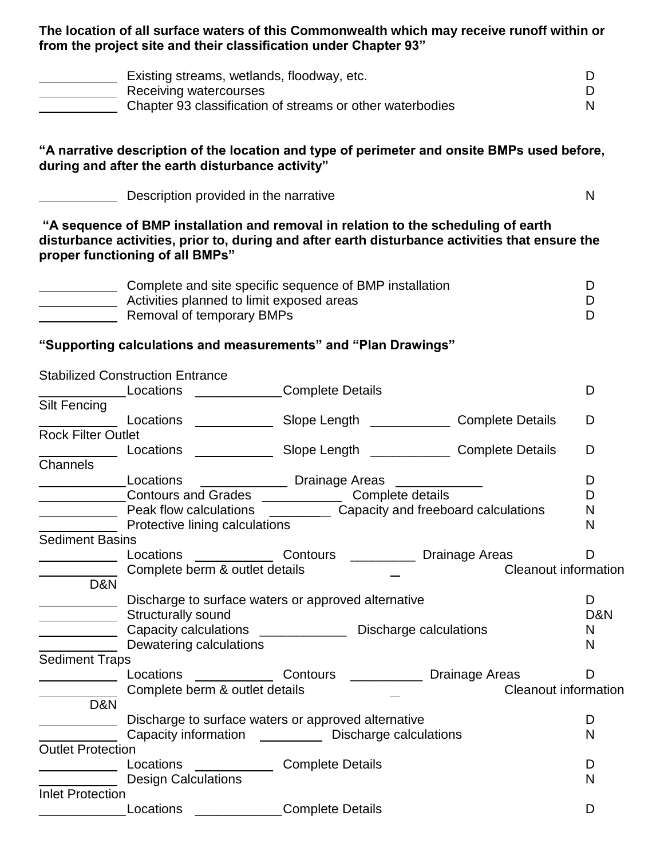**The location of all surface waters of this Commonwealth which may receive runoff within or from the project site and their classification under Chapter 93"**

| Existing streams, wetlands, floodway, etc.                |  |
|-----------------------------------------------------------|--|
| Receiving watercourses                                    |  |
| Chapter 93 classification of streams or other waterbodies |  |

**"A narrative description of the location and type of perimeter and onsite BMPs used before, during and after the earth disturbance activity"**

| Description provided in the narrative |  |
|---------------------------------------|--|
|---------------------------------------|--|

**"A sequence of BMP installation and removal in relation to the scheduling of earth disturbance activities, prior to, during and after earth disturbance activities that ensure the proper functioning of all BMPs"**

| Complete and site specific sequence of BMP installation |  |
|---------------------------------------------------------|--|
| Activities planned to limit exposed areas               |  |
| Removal of temporary BMPs                               |  |

**"Supporting calculations and measurements" and "Plan Drawings"**

|                           | <b>Stabilized Construction Entrance</b>                      |                         |                             |     |
|---------------------------|--------------------------------------------------------------|-------------------------|-----------------------------|-----|
|                           | <b>Locations Example 20</b>                                  | Complete Details        |                             | D   |
| <b>Silt Fencing</b>       |                                                              |                         |                             |     |
|                           | Locations                                                    |                         |                             | D   |
| <b>Rock Filter Outlet</b> |                                                              |                         |                             |     |
|                           |                                                              |                         |                             | D   |
| Channels                  |                                                              |                         |                             |     |
|                           | Locations _________________ Drainage Areas _____________     |                         |                             | D   |
|                           | Contours and Grades <b>Complete</b> details                  |                         |                             | D   |
|                           |                                                              |                         |                             | N   |
|                           | Protective lining calculations                               |                         |                             | N   |
| <b>Sediment Basins</b>    |                                                              |                         |                             |     |
|                           | Locations                                                    |                         |                             | D   |
|                           | Complete berm & outlet details                               |                         | <b>Cleanout information</b> |     |
| D&N                       |                                                              |                         |                             |     |
|                           | Discharge to surface waters or approved alternative          |                         |                             | D   |
|                           | Structurally sound                                           |                         |                             | D&N |
|                           | Capacity calculations _______________ Discharge calculations |                         |                             | N   |
|                           | Dewatering calculations                                      |                         |                             | N   |
| <b>Sediment Traps</b>     |                                                              |                         |                             |     |
|                           | Locations                                                    |                         |                             | D   |
|                           | Complete berm & outlet details                               |                         | <b>Cleanout information</b> |     |
| D&N                       |                                                              |                         |                             |     |
|                           | Discharge to surface waters or approved alternative          |                         |                             | D   |
|                           | Capacity information _____________ Discharge calculations    |                         |                             | N   |
| <b>Outlet Protection</b>  |                                                              |                         |                             |     |
|                           | Locations                                                    | <b>Complete Details</b> |                             | D   |
|                           | <b>Design Calculations</b>                                   |                         |                             | N   |
| <b>Inlet Protection</b>   |                                                              |                         |                             |     |
|                           | Locations                                                    | Complete Details        |                             | D   |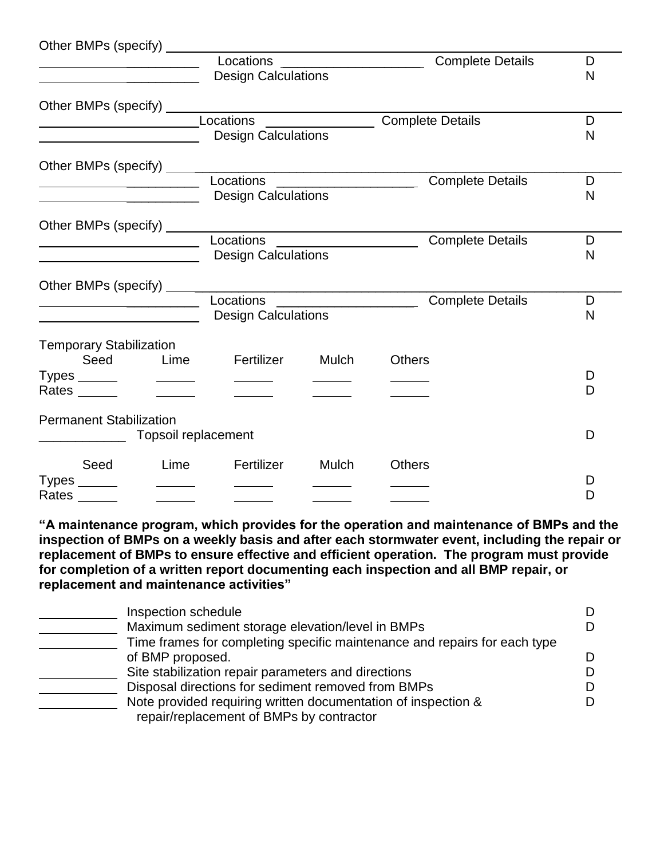| Other BMPs (specify) _____                                                                                           |                          |                                                        |                                                 |    |
|----------------------------------------------------------------------------------------------------------------------|--------------------------|--------------------------------------------------------|-------------------------------------------------|----|
|                                                                                                                      |                          | Locations ______________________                       | <b>Complete Details</b>                         | D  |
| <u> 1980 - Jan James James, president filozof (</u>                                                                  |                          | <b>Design Calculations</b>                             |                                                 | N  |
|                                                                                                                      |                          |                                                        |                                                 |    |
|                                                                                                                      |                          |                                                        |                                                 |    |
| <u> Alexandria de la contentación de la contentación de la contentación de la contentación de la contentación de</u> |                          |                                                        | Locations _____________________Complete Details | D  |
|                                                                                                                      |                          | <b>Design Calculations</b>                             |                                                 | N  |
|                                                                                                                      |                          |                                                        |                                                 |    |
|                                                                                                                      |                          | Locations ____________________                         | <b>Complete Details</b>                         | D  |
|                                                                                                                      |                          | <b>Design Calculations</b>                             |                                                 | N  |
|                                                                                                                      |                          |                                                        |                                                 |    |
| Other BMPs (specify) _____                                                                                           |                          |                                                        |                                                 |    |
|                                                                                                                      |                          | Locations _____________________                        | <b>Complete Details</b>                         | D  |
| <u> 1980 - Johann John Stone, mars eta biztanleria (</u>                                                             |                          | <b>Design Calculations</b>                             |                                                 | N  |
|                                                                                                                      |                          |                                                        |                                                 |    |
|                                                                                                                      |                          | Other BMPs (specify) _________________________________ |                                                 |    |
|                                                                                                                      |                          |                                                        | <b>Complete Details</b>                         | D  |
|                                                                                                                      |                          | <b>Design Calculations</b>                             |                                                 | N  |
| <b>Temporary Stabilization</b>                                                                                       |                          |                                                        |                                                 |    |
|                                                                                                                      |                          | Seed Lime Fertilizer Mulch                             | <b>Others</b>                                   |    |
|                                                                                                                      |                          | $\overline{\phantom{a}}$                               |                                                 | D  |
| Rates                                                                                                                | $\overline{\phantom{a}}$ |                                                        |                                                 | D  |
|                                                                                                                      |                          |                                                        |                                                 |    |
| <b>Permanent Stabilization</b>                                                                                       |                          |                                                        |                                                 |    |
|                                                                                                                      | Topsoil replacement      |                                                        |                                                 | D  |
|                                                                                                                      |                          |                                                        |                                                 |    |
|                                                                                                                      |                          | Seed Lime Fertilizer Mulch                             | <b>Others</b>                                   |    |
|                                                                                                                      |                          |                                                        |                                                 | I) |
| Rates                                                                                                                |                          |                                                        |                                                 | D  |

**"A maintenance program, which provides for the operation and maintenance of BMPs and the inspection of BMPs on a weekly basis and after each stormwater event, including the repair or replacement of BMPs to ensure effective and efficient operation. The program must provide for completion of a written report documenting each inspection and all BMP repair, or replacement and maintenance activities"**